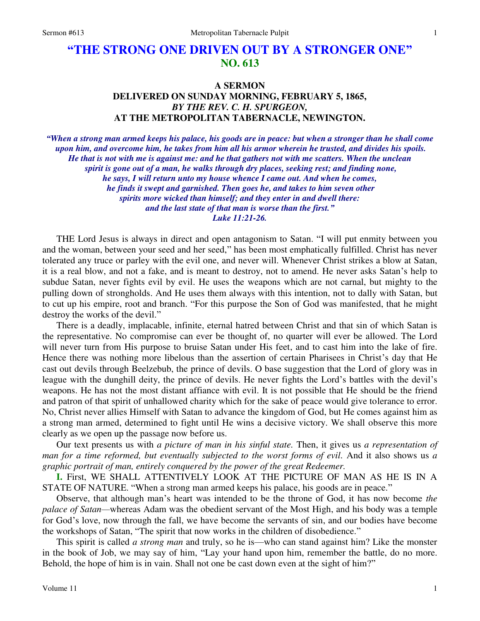## **"THE STRONG ONE DRIVEN OUT BY A STRONGER ONE" NO. 613**

## **A SERMON DELIVERED ON SUNDAY MORNING, FEBRUARY 5, 1865,**  *BY THE REV. C. H. SPURGEON,*  **AT THE METROPOLITAN TABERNACLE, NEWINGTON.**

*"When a strong man armed keeps his palace, his goods are in peace: but when a stronger than he shall come upon him, and overcome him, he takes from him all his armor wherein he trusted, and divides his spoils. He that is not with me is against me: and he that gathers not with me scatters. When the unclean spirit is gone out of a man, he walks through dry places, seeking rest; and finding none, he says, I will return unto my house whence I came out. And when he comes, he finds it swept and garnished. Then goes he, and takes to him seven other spirits more wicked than himself; and they enter in and dwell there: and the last state of that man is worse than the first." Luke 11:21-26.* 

 THE Lord Jesus is always in direct and open antagonism to Satan. "I will put enmity between you and the woman, between your seed and her seed," has been most emphatically fulfilled. Christ has never tolerated any truce or parley with the evil one, and never will. Whenever Christ strikes a blow at Satan, it is a real blow, and not a fake, and is meant to destroy, not to amend. He never asks Satan's help to subdue Satan, never fights evil by evil. He uses the weapons which are not carnal, but mighty to the pulling down of strongholds. And He uses them always with this intention, not to dally with Satan, but to cut up his empire, root and branch. "For this purpose the Son of God was manifested, that he might destroy the works of the devil."

 There is a deadly, implacable, infinite, eternal hatred between Christ and that sin of which Satan is the representative. No compromise can ever be thought of, no quarter will ever be allowed. The Lord will never turn from His purpose to bruise Satan under His feet, and to cast him into the lake of fire. Hence there was nothing more libelous than the assertion of certain Pharisees in Christ's day that He cast out devils through Beelzebub, the prince of devils. O base suggestion that the Lord of glory was in league with the dunghill deity, the prince of devils. He never fights the Lord's battles with the devil's weapons. He has not the most distant affiance with evil. It is not possible that He should be the friend and patron of that spirit of unhallowed charity which for the sake of peace would give tolerance to error. No, Christ never allies Himself with Satan to advance the kingdom of God, but He comes against him as a strong man armed, determined to fight until He wins a decisive victory. We shall observe this more clearly as we open up the passage now before us.

Our text presents us with *a picture of man in his sinful state.* Then, it gives us *a representation of man for a time reformed, but eventually subjected to the worst forms of evil.* And it also shows us *a graphic portrait of man, entirely conquered by the power of the great Redeemer.*

**I.** First, WE SHALL ATTENTIVELY LOOK AT THE PICTURE OF MAN AS HE IS IN A STATE OF NATURE. "When a strong man armed keeps his palace, his goods are in peace."

Observe, that although man's heart was intended to be the throne of God, it has now become *the palace of Satan—*whereas Adam was the obedient servant of the Most High, and his body was a temple for God's love, now through the fall, we have become the servants of sin, and our bodies have become the workshops of Satan, "The spirit that now works in the children of disobedience."

This spirit is called *a strong man* and truly, so he is—who can stand against him? Like the monster in the book of Job, we may say of him, "Lay your hand upon him, remember the battle, do no more. Behold, the hope of him is in vain. Shall not one be cast down even at the sight of him?"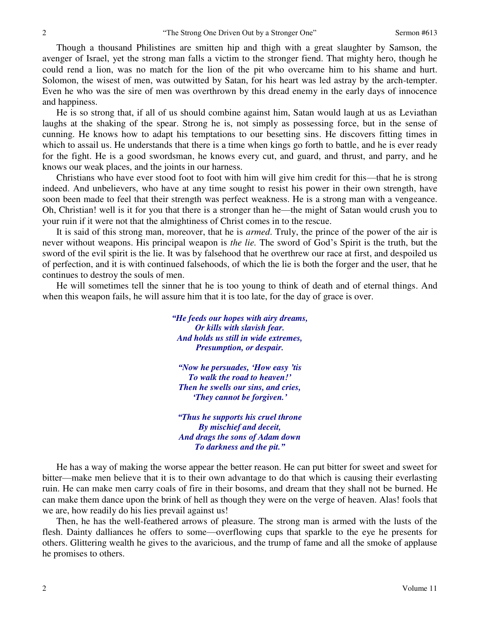Though a thousand Philistines are smitten hip and thigh with a great slaughter by Samson, the avenger of Israel, yet the strong man falls a victim to the stronger fiend. That mighty hero, though he could rend a lion, was no match for the lion of the pit who overcame him to his shame and hurt. Solomon, the wisest of men, was outwitted by Satan, for his heart was led astray by the arch-tempter. Even he who was the sire of men was overthrown by this dread enemy in the early days of innocence and happiness.

He is so strong that, if all of us should combine against him, Satan would laugh at us as Leviathan laughs at the shaking of the spear. Strong he is, not simply as possessing force, but in the sense of cunning. He knows how to adapt his temptations to our besetting sins. He discovers fitting times in which to assail us. He understands that there is a time when kings go forth to battle, and he is ever ready for the fight. He is a good swordsman, he knows every cut, and guard, and thrust, and parry, and he knows our weak places, and the joints in our harness.

Christians who have ever stood foot to foot with him will give him credit for this—that he is strong indeed. And unbelievers, who have at any time sought to resist his power in their own strength, have soon been made to feel that their strength was perfect weakness. He is a strong man with a vengeance. Oh, Christian! well is it for you that there is a stronger than he—the might of Satan would crush you to your ruin if it were not that the almightiness of Christ comes in to the rescue.

 It is said of this strong man, moreover, that he is *armed*. Truly, the prince of the power of the air is never without weapons. His principal weapon is *the lie.* The sword of God's Spirit is the truth, but the sword of the evil spirit is the lie. It was by falsehood that he overthrew our race at first, and despoiled us of perfection, and it is with continued falsehoods, of which the lie is both the forger and the user, that he continues to destroy the souls of men.

 He will sometimes tell the sinner that he is too young to think of death and of eternal things. And when this weapon fails, he will assure him that it is too late, for the day of grace is over.

> *"He feeds our hopes with airy dreams, Or kills with slavish fear. And holds us still in wide extremes, Presumption, or despair.*

*"Now he persuades, 'How easy 'tis To walk the road to heaven!' Then he swells our sins, and cries, 'They cannot be forgiven.'*

*"Thus he supports his cruel throne By mischief and deceit, And drags the sons of Adam down To darkness and the pit."*

 He has a way of making the worse appear the better reason. He can put bitter for sweet and sweet for bitter—make men believe that it is to their own advantage to do that which is causing their everlasting ruin. He can make men carry coals of fire in their bosoms, and dream that they shall not be burned. He can make them dance upon the brink of hell as though they were on the verge of heaven. Alas! fools that we are, how readily do his lies prevail against us!

 Then, he has the well-feathered arrows of pleasure. The strong man is armed with the lusts of the flesh. Dainty dalliances he offers to some—overflowing cups that sparkle to the eye he presents for others. Glittering wealth he gives to the avaricious, and the trump of fame and all the smoke of applause he promises to others.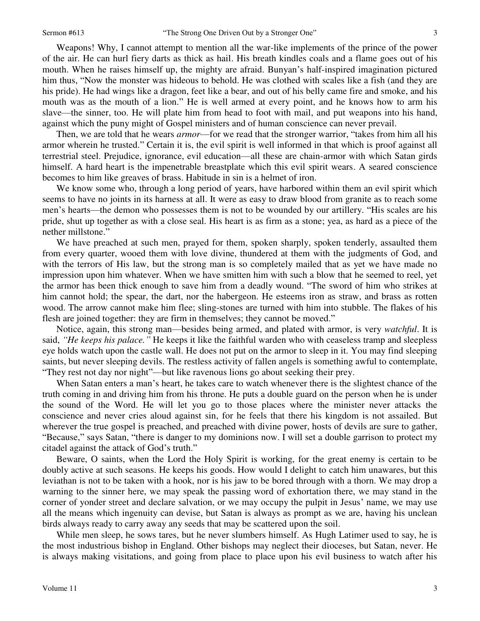Weapons! Why, I cannot attempt to mention all the war-like implements of the prince of the power of the air. He can hurl fiery darts as thick as hail. His breath kindles coals and a flame goes out of his mouth. When he raises himself up, the mighty are afraid. Bunyan's half-inspired imagination pictured him thus, "Now the monster was hideous to behold. He was clothed with scales like a fish (and they are his pride). He had wings like a dragon, feet like a bear, and out of his belly came fire and smoke, and his mouth was as the mouth of a lion." He is well armed at every point, and he knows how to arm his slave—the sinner, too. He will plate him from head to foot with mail, and put weapons into his hand, against which the puny might of Gospel ministers and of human conscience can never prevail.

Then, we are told that he wears *armor*—for we read that the stronger warrior, "takes from him all his armor wherein he trusted." Certain it is, the evil spirit is well informed in that which is proof against all terrestrial steel. Prejudice, ignorance, evil education—all these are chain-armor with which Satan girds himself. A hard heart is the impenetrable breastplate which this evil spirit wears. A seared conscience becomes to him like greaves of brass. Habitude in sin is a helmet of iron.

We know some who, through a long period of years, have harbored within them an evil spirit which seems to have no joints in its harness at all. It were as easy to draw blood from granite as to reach some men's hearts—the demon who possesses them is not to be wounded by our artillery. "His scales are his pride, shut up together as with a close seal. His heart is as firm as a stone; yea, as hard as a piece of the nether millstone."

We have preached at such men, prayed for them, spoken sharply, spoken tenderly, assaulted them from every quarter, wooed them with love divine, thundered at them with the judgments of God, and with the terrors of His law, but the strong man is so completely mailed that as yet we have made no impression upon him whatever. When we have smitten him with such a blow that he seemed to reel, yet the armor has been thick enough to save him from a deadly wound. "The sword of him who strikes at him cannot hold; the spear, the dart, nor the habergeon. He esteems iron as straw, and brass as rotten wood. The arrow cannot make him flee; sling-stones are turned with him into stubble. The flakes of his flesh are joined together: they are firm in themselves; they cannot be moved."

 Notice, again, this strong man—besides being armed, and plated with armor, is very *watchful*. It is said, *"He keeps his palace."* He keeps it like the faithful warden who with ceaseless tramp and sleepless eye holds watch upon the castle wall. He does not put on the armor to sleep in it. You may find sleeping saints, but never sleeping devils. The restless activity of fallen angels is something awful to contemplate, "They rest not day nor night"—but like ravenous lions go about seeking their prey.

 When Satan enters a man's heart, he takes care to watch whenever there is the slightest chance of the truth coming in and driving him from his throne. He puts a double guard on the person when he is under the sound of the Word. He will let you go to those places where the minister never attacks the conscience and never cries aloud against sin, for he feels that there his kingdom is not assailed. But wherever the true gospel is preached, and preached with divine power, hosts of devils are sure to gather, "Because," says Satan, "there is danger to my dominions now. I will set a double garrison to protect my citadel against the attack of God's truth."

 Beware, O saints, when the Lord the Holy Spirit is working, for the great enemy is certain to be doubly active at such seasons. He keeps his goods. How would I delight to catch him unawares, but this leviathan is not to be taken with a hook, nor is his jaw to be bored through with a thorn. We may drop a warning to the sinner here, we may speak the passing word of exhortation there, we may stand in the corner of yonder street and declare salvation, or we may occupy the pulpit in Jesus' name, we may use all the means which ingenuity can devise, but Satan is always as prompt as we are, having his unclean birds always ready to carry away any seeds that may be scattered upon the soil.

 While men sleep, he sows tares, but he never slumbers himself. As Hugh Latimer used to say, he is the most industrious bishop in England. Other bishops may neglect their dioceses, but Satan, never. He is always making visitations, and going from place to place upon his evil business to watch after his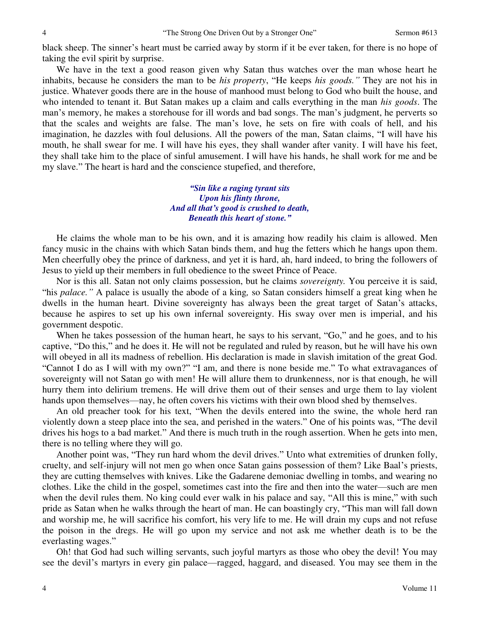black sheep. The sinner's heart must be carried away by storm if it be ever taken, for there is no hope of taking the evil spirit by surprise.

We have in the text a good reason given why Satan thus watches over the man whose heart he inhabits, because he considers the man to be *his property*, "He keeps *his goods."* They are not his in justice. Whatever goods there are in the house of manhood must belong to God who built the house, and who intended to tenant it. But Satan makes up a claim and calls everything in the man *his goods*. The man's memory, he makes a storehouse for ill words and bad songs. The man's judgment, he perverts so that the scales and weights are false. The man's love, he sets on fire with coals of hell, and his imagination, he dazzles with foul delusions. All the powers of the man, Satan claims, "I will have his mouth, he shall swear for me. I will have his eyes, they shall wander after vanity. I will have his feet, they shall take him to the place of sinful amusement. I will have his hands, he shall work for me and be my slave." The heart is hard and the conscience stupefied, and therefore,

> *"Sin like a raging tyrant sits Upon his flinty throne, And all that's good is crushed to death, Beneath this heart of stone."*

He claims the whole man to be his own, and it is amazing how readily his claim is allowed. Men fancy music in the chains with which Satan binds them, and hug the fetters which he hangs upon them. Men cheerfully obey the prince of darkness, and yet it is hard, ah, hard indeed, to bring the followers of Jesus to yield up their members in full obedience to the sweet Prince of Peace.

 Nor is this all. Satan not only claims possession, but he claims *sovereignty.* You perceive it is said, "his *palace."* A palace is usually the abode of a king*,* so Satan considers himself a great king when he dwells in the human heart. Divine sovereignty has always been the great target of Satan's attacks, because he aspires to set up his own infernal sovereignty. His sway over men is imperial, and his government despotic.

When he takes possession of the human heart, he says to his servant, "Go," and he goes, and to his captive, "Do this," and he does it. He will not be regulated and ruled by reason, but he will have his own will obeyed in all its madness of rebellion. His declaration is made in slavish imitation of the great God. "Cannot I do as I will with my own?" "I am, and there is none beside me." To what extravagances of sovereignty will not Satan go with men! He will allure them to drunkenness, nor is that enough, he will hurry them into delirium tremens. He will drive them out of their senses and urge them to lay violent hands upon themselves—nay, he often covers his victims with their own blood shed by themselves.

 An old preacher took for his text, "When the devils entered into the swine, the whole herd ran violently down a steep place into the sea, and perished in the waters." One of his points was, "The devil drives his hogs to a bad market." And there is much truth in the rough assertion. When he gets into men, there is no telling where they will go.

 Another point was, "They run hard whom the devil drives." Unto what extremities of drunken folly, cruelty, and self-injury will not men go when once Satan gains possession of them? Like Baal's priests, they are cutting themselves with knives. Like the Gadarene demoniac dwelling in tombs, and wearing no clothes. Like the child in the gospel, sometimes cast into the fire and then into the water—such are men when the devil rules them. No king could ever walk in his palace and say, "All this is mine," with such pride as Satan when he walks through the heart of man. He can boastingly cry, "This man will fall down and worship me, he will sacrifice his comfort, his very life to me. He will drain my cups and not refuse the poison in the dregs. He will go upon my service and not ask me whether death is to be the everlasting wages."

Oh! that God had such willing servants, such joyful martyrs as those who obey the devil! You may see the devil's martyrs in every gin palace—ragged, haggard, and diseased. You may see them in the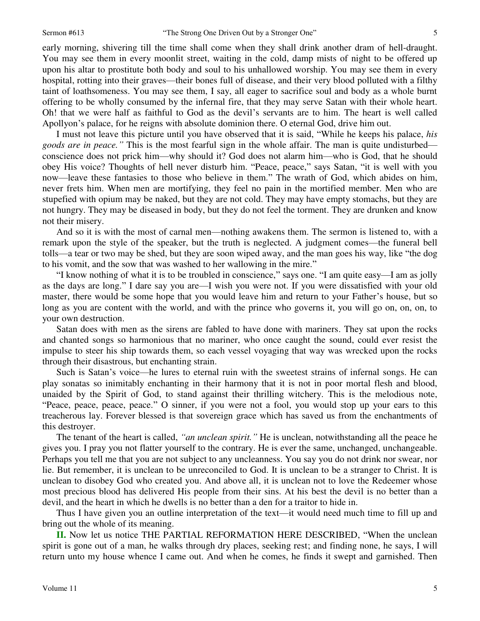early morning, shivering till the time shall come when they shall drink another dram of hell-draught. You may see them in every moonlit street, waiting in the cold, damp mists of night to be offered up upon his altar to prostitute both body and soul to his unhallowed worship. You may see them in every hospital, rotting into their graves—their bones full of disease, and their very blood polluted with a filthy taint of loathsomeness. You may see them, I say, all eager to sacrifice soul and body as a whole burnt offering to be wholly consumed by the infernal fire, that they may serve Satan with their whole heart. Oh! that we were half as faithful to God as the devil's servants are to him. The heart is well called Apollyon's palace, for he reigns with absolute dominion there. O eternal God, drive him out.

 I must not leave this picture until you have observed that it is said, "While he keeps his palace, *his goods are in peace."* This is the most fearful sign in the whole affair. The man is quite undisturbed conscience does not prick him—why should it? God does not alarm him—who is God, that he should obey His voice? Thoughts of hell never disturb him. "Peace, peace," says Satan, "it is well with you now—leave these fantasies to those who believe in them." The wrath of God, which abides on him, never frets him. When men are mortifying, they feel no pain in the mortified member. Men who are stupefied with opium may be naked, but they are not cold. They may have empty stomachs, but they are not hungry. They may be diseased in body, but they do not feel the torment. They are drunken and know not their misery.

 And so it is with the most of carnal men—nothing awakens them. The sermon is listened to, with a remark upon the style of the speaker, but the truth is neglected. A judgment comes—the funeral bell tolls—a tear or two may be shed, but they are soon wiped away, and the man goes his way, like "the dog to his vomit, and the sow that was washed to her wallowing in the mire."

"I know nothing of what it is to be troubled in conscience," says one. "I am quite easy—I am as jolly as the days are long." I dare say you are—I wish you were not. If you were dissatisfied with your old master, there would be some hope that you would leave him and return to your Father's house, but so long as you are content with the world, and with the prince who governs it, you will go on, on, on, to your own destruction.

 Satan does with men as the sirens are fabled to have done with mariners. They sat upon the rocks and chanted songs so harmonious that no mariner, who once caught the sound, could ever resist the impulse to steer his ship towards them, so each vessel voyaging that way was wrecked upon the rocks through their disastrous, but enchanting strain.

 Such is Satan's voice—he lures to eternal ruin with the sweetest strains of infernal songs. He can play sonatas so inimitably enchanting in their harmony that it is not in poor mortal flesh and blood, unaided by the Spirit of God, to stand against their thrilling witchery. This is the melodious note, "Peace, peace, peace, peace." O sinner, if you were not a fool, you would stop up your ears to this treacherous lay. Forever blessed is that sovereign grace which has saved us from the enchantments of this destroyer.

The tenant of the heart is called, *"an unclean spirit."* He is unclean, notwithstanding all the peace he gives you. I pray you not flatter yourself to the contrary. He is ever the same, unchanged, unchangeable. Perhaps you tell me that you are not subject to any uncleanness. You say you do not drink nor swear, nor lie. But remember, it is unclean to be unreconciled to God. It is unclean to be a stranger to Christ. It is unclean to disobey God who created you. And above all, it is unclean not to love the Redeemer whose most precious blood has delivered His people from their sins. At his best the devil is no better than a devil, and the heart in which he dwells is no better than a den for a traitor to hide in.

 Thus I have given you an outline interpretation of the text—it would need much time to fill up and bring out the whole of its meaning.

**II.** Now let us notice THE PARTIAL REFORMATION HERE DESCRIBED, "When the unclean spirit is gone out of a man, he walks through dry places, seeking rest; and finding none, he says, I will return unto my house whence I came out. And when he comes, he finds it swept and garnished. Then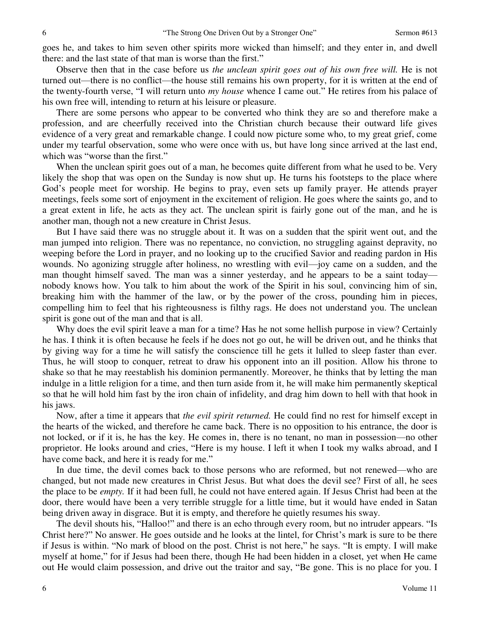goes he, and takes to him seven other spirits more wicked than himself; and they enter in, and dwell there: and the last state of that man is worse than the first."

 Observe then that in the case before us *the unclean spirit goes out of his own free will.* He is not turned out—there is no conflict—the house still remains his own property, for it is written at the end of the twenty-fourth verse, "I will return unto *my house* whence I came out." He retires from his palace of his own free will, intending to return at his leisure or pleasure.

 There are some persons who appear to be converted who think they are so and therefore make a profession, and are cheerfully received into the Christian church because their outward life gives evidence of a very great and remarkable change. I could now picture some who, to my great grief, come under my tearful observation, some who were once with us, but have long since arrived at the last end, which was "worse than the first."

When the unclean spirit goes out of a man, he becomes quite different from what he used to be. Very likely the shop that was open on the Sunday is now shut up. He turns his footsteps to the place where God's people meet for worship. He begins to pray, even sets up family prayer. He attends prayer meetings, feels some sort of enjoyment in the excitement of religion. He goes where the saints go, and to a great extent in life, he acts as they act. The unclean spirit is fairly gone out of the man, and he is another man, though not a new creature in Christ Jesus.

 But I have said there was no struggle about it. It was on a sudden that the spirit went out, and the man jumped into religion. There was no repentance, no conviction, no struggling against depravity, no weeping before the Lord in prayer, and no looking up to the crucified Savior and reading pardon in His wounds. No agonizing struggle after holiness, no wrestling with evil—joy came on a sudden, and the man thought himself saved. The man was a sinner yesterday, and he appears to be a saint today nobody knows how. You talk to him about the work of the Spirit in his soul, convincing him of sin, breaking him with the hammer of the law, or by the power of the cross, pounding him in pieces, compelling him to feel that his righteousness is filthy rags. He does not understand you. The unclean spirit is gone out of the man and that is all.

Why does the evil spirit leave a man for a time? Has he not some hellish purpose in view? Certainly he has. I think it is often because he feels if he does not go out, he will be driven out, and he thinks that by giving way for a time he will satisfy the conscience till he gets it lulled to sleep faster than ever. Thus, he will stoop to conquer, retreat to draw his opponent into an ill position. Allow his throne to shake so that he may reestablish his dominion permanently. Moreover, he thinks that by letting the man indulge in a little religion for a time, and then turn aside from it, he will make him permanently skeptical so that he will hold him fast by the iron chain of infidelity, and drag him down to hell with that hook in his jaws.

 Now, after a time it appears that *the evil spirit returned.* He could find no rest for himself except in the hearts of the wicked, and therefore he came back. There is no opposition to his entrance, the door is not locked, or if it is, he has the key. He comes in, there is no tenant, no man in possession—no other proprietor. He looks around and cries, "Here is my house. I left it when I took my walks abroad, and I have come back, and here it is ready for me."

 In due time, the devil comes back to those persons who are reformed, but not renewed—who are changed, but not made new creatures in Christ Jesus. But what does the devil see? First of all, he sees the place to be *empty.* If it had been full, he could not have entered again. If Jesus Christ had been at the door, there would have been a very terrible struggle for a little time, but it would have ended in Satan being driven away in disgrace. But it is empty, and therefore he quietly resumes his sway.

 The devil shouts his, "Halloo!" and there is an echo through every room, but no intruder appears. "Is Christ here?" No answer. He goes outside and he looks at the lintel, for Christ's mark is sure to be there if Jesus is within. "No mark of blood on the post. Christ is not here," he says. "It is empty. I will make myself at home," for if Jesus had been there, though He had been hidden in a closet, yet when He came out He would claim possession, and drive out the traitor and say, "Be gone. This is no place for you. I

Volume 11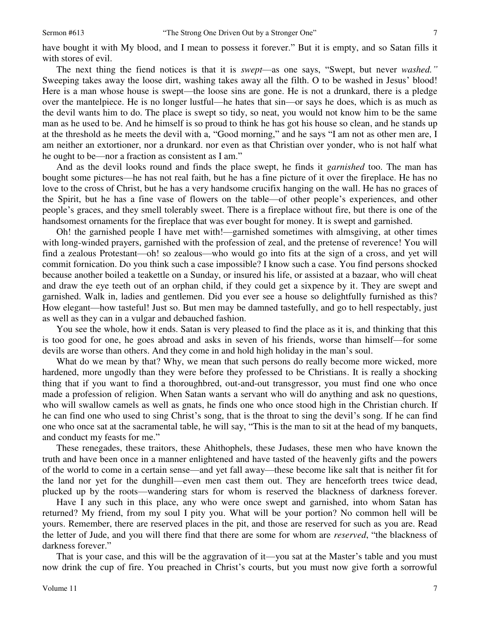have bought it with My blood, and I mean to possess it forever." But it is empty, and so Satan fills it with stores of evil.

 The next thing the fiend notices is that it is *swept*—as one says, "Swept, but never *washed."* Sweeping takes away the loose dirt, washing takes away all the filth. O to be washed in Jesus' blood! Here is a man whose house is swept—the loose sins are gone. He is not a drunkard, there is a pledge over the mantelpiece. He is no longer lustful—he hates that sin—or says he does, which is as much as the devil wants him to do. The place is swept so tidy, so neat, you would not know him to be the same man as he used to be. And he himself is so proud to think he has got his house so clean, and he stands up at the threshold as he meets the devil with a, "Good morning," and he says "I am not as other men are, I am neither an extortioner, nor a drunkard. nor even as that Christian over yonder, who is not half what he ought to be—nor a fraction as consistent as I am."

And as the devil looks round and finds the place swept, he finds it *garnished* too. The man has bought some pictures—he has not real faith, but he has a fine picture of it over the fireplace. He has no love to the cross of Christ, but he has a very handsome crucifix hanging on the wall. He has no graces of the Spirit, but he has a fine vase of flowers on the table—of other people's experiences, and other people's graces, and they smell tolerably sweet. There is a fireplace without fire, but there is one of the handsomest ornaments for the fireplace that was ever bought for money. It is swept and garnished.

Oh! the garnished people I have met with!—garnished sometimes with almsgiving, at other times with long-winded prayers, garnished with the profession of zeal, and the pretense of reverence! You will find a zealous Protestant—oh! so zealous—who would go into fits at the sign of a cross, and yet will commit fornication. Do you think such a case impossible? I know such a case. You find persons shocked because another boiled a teakettle on a Sunday, or insured his life, or assisted at a bazaar, who will cheat and draw the eye teeth out of an orphan child, if they could get a sixpence by it. They are swept and garnished. Walk in, ladies and gentlemen. Did you ever see a house so delightfully furnished as this? How elegant—how tasteful! Just so. But men may be damned tastefully, and go to hell respectably, just as well as they can in a vulgar and debauched fashion.

You see the whole, how it ends. Satan is very pleased to find the place as it is, and thinking that this is too good for one, he goes abroad and asks in seven of his friends, worse than himself—for some devils are worse than others. And they come in and hold high holiday in the man's soul.

What do we mean by that? Why, we mean that such persons do really become more wicked, more hardened, more ungodly than they were before they professed to be Christians. It is really a shocking thing that if you want to find a thoroughbred, out-and-out transgressor, you must find one who once made a profession of religion. When Satan wants a servant who will do anything and ask no questions, who will swallow camels as well as gnats, he finds one who once stood high in the Christian church. If he can find one who used to sing Christ's song, that is the throat to sing the devil's song. If he can find one who once sat at the sacramental table, he will say, "This is the man to sit at the head of my banquets, and conduct my feasts for me."

These renegades, these traitors, these Ahithophels, these Judases, these men who have known the truth and have been once in a manner enlightened and have tasted of the heavenly gifts and the powers of the world to come in a certain sense—and yet fall away—these become like salt that is neither fit for the land nor yet for the dunghill—even men cast them out. They are henceforth trees twice dead, plucked up by the roots—wandering stars for whom is reserved the blackness of darkness forever.

 Have I any such in this place, any who were once swept and garnished, into whom Satan has returned? My friend, from my soul I pity you. What will be your portion? No common hell will be yours. Remember, there are reserved places in the pit, and those are reserved for such as you are. Read the letter of Jude, and you will there find that there are some for whom are *reserved*, "the blackness of darkness forever."

 That is your case, and this will be the aggravation of it—you sat at the Master's table and you must now drink the cup of fire. You preached in Christ's courts, but you must now give forth a sorrowful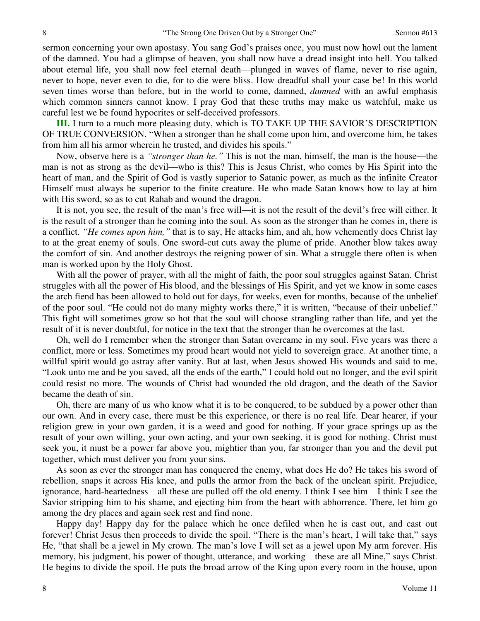sermon concerning your own apostasy. You sang God's praises once, you must now howl out the lament of the damned. You had a glimpse of heaven, you shall now have a dread insight into hell. You talked about eternal life, you shall now feel eternal death—plunged in waves of flame, never to rise again, never to hope, never even to die, for to die were bliss. How dreadful shall your case be! In this world seven times worse than before, but in the world to come, damned, *damned* with an awful emphasis which common sinners cannot know. I pray God that these truths may make us watchful, make us careful lest we be found hypocrites or self-deceived professors.

**III.** I turn to a much more pleasing duty, which is TO TAKE UP THE SAVIOR'S DESCRIPTION OF TRUE CONVERSION. "When a stronger than he shall come upon him, and overcome him, he takes from him all his armor wherein he trusted, and divides his spoils."

Now, observe here is a *"stronger than he."* This is not the man, himself, the man is the house—the man is not as strong as the devil—who is this? This is Jesus Christ, who comes by His Spirit into the heart of man, and the Spirit of God is vastly superior to Satanic power, as much as the infinite Creator Himself must always be superior to the finite creature. He who made Satan knows how to lay at him with His sword, so as to cut Rahab and wound the dragon.

It is not, you see, the result of the man's free will—it is not the result of the devil's free will either. It is the result of a stronger than he coming into the soul. As soon as the stronger than he comes in, there is a conflict. *"He comes upon him,"* that is to say, He attacks him, and ah, how vehemently does Christ lay to at the great enemy of souls. One sword-cut cuts away the plume of pride. Another blow takes away the comfort of sin. And another destroys the reigning power of sin. What a struggle there often is when man is worked upon by the Holy Ghost.

With all the power of prayer, with all the might of faith, the poor soul struggles against Satan. Christ struggles with all the power of His blood, and the blessings of His Spirit, and yet we know in some cases the arch fiend has been allowed to hold out for days, for weeks, even for months, because of the unbelief of the poor soul. "He could not do many mighty works there," it is written, "because of their unbelief." This fight will sometimes grow so hot that the soul will choose strangling rather than life, and yet the result of it is never doubtful, for notice in the text that the stronger than he overcomes at the last.

Oh, well do I remember when the stronger than Satan overcame in my soul. Five years was there a conflict, more or less. Sometimes my proud heart would not yield to sovereign grace. At another time, a willful spirit would go astray after vanity. But at last, when Jesus showed His wounds and said to me, "Look unto me and be you saved, all the ends of the earth," I could hold out no longer, and the evil spirit could resist no more. The wounds of Christ had wounded the old dragon, and the death of the Savior became the death of sin.

Oh, there are many of us who know what it is to be conquered, to be subdued by a power other than our own. And in every case, there must be this experience, or there is no real life. Dear hearer, if your religion grew in your own garden, it is a weed and good for nothing. If your grace springs up as the result of your own willing, your own acting, and your own seeking, it is good for nothing. Christ must seek you, it must be a power far above you, mightier than you, far stronger than you and the devil put together, which must deliver you from your sins.

 As soon as ever the stronger man has conquered the enemy, what does He do? He takes his sword of rebellion, snaps it across His knee, and pulls the armor from the back of the unclean spirit. Prejudice, ignorance, hard-heartedness—all these are pulled off the old enemy. I think I see him—I think I see the Savior stripping him to his shame, and ejecting him from the heart with abhorrence. There, let him go among the dry places and again seek rest and find none.

 Happy day! Happy day for the palace which he once defiled when he is cast out, and cast out forever! Christ Jesus then proceeds to divide the spoil. "There is the man's heart, I will take that," says He, "that shall be a jewel in My crown. The man's love I will set as a jewel upon My arm forever. His memory, his judgment, his power of thought, utterance, and working—these are all Mine," says Christ. He begins to divide the spoil. He puts the broad arrow of the King upon every room in the house, upon